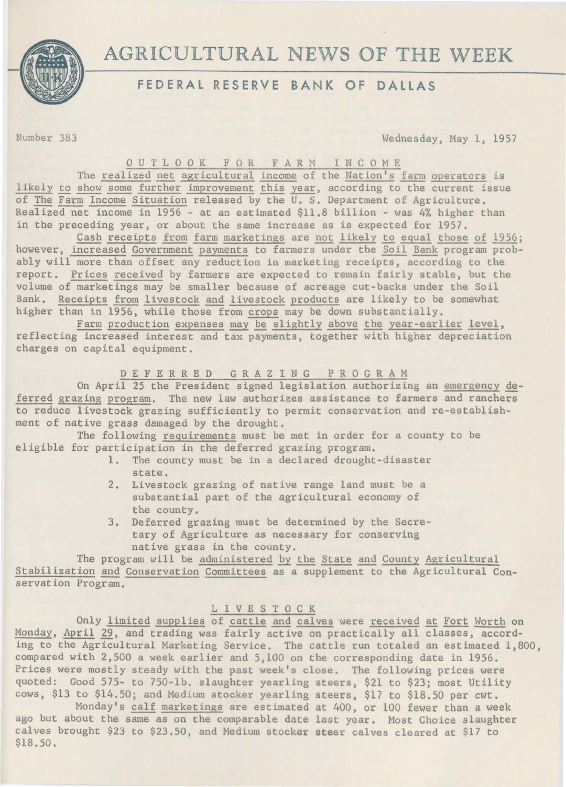

# AGRICULTURAL NEWS OF THE WEEK

## **FEDERAL RESERVE BANK OF DALLAS**

Number 383 Wednesday, May 1, 1957

0 U T L 0 0 K F 0 R FARM I N C 0 M E

The realized net agricultural income of the Nation's farm operators is likely to show some further improvement this year, according to the current issue of The Farm Income Situation released by the U.S. Department of Agriculture. Realized net income in 1956 - at an estimated \$11.8 billion - was 4% higher than in the preceding year, or about the same increase as is expected for 1957.

Cash receipts from farm marketings are not likely to equal those of 1956; however, increased Government payments *to* farmers under the Soil Bank program probably will more than offset any reduction in marketing receipts, according to the report. Prices received by farmers are expected to remain fairly stable, but the volume of marketings may be smaller because of acreage cut-backs under the Soil Bank. Receipts from livestock and livestock products are likely to be somewhat higher than in 1956, while those from crops may be down substantially.

Farm production expenses may be slightly above the year-earlier level, reflecting increased interest and tax payments, together with higher depreciation charges on capital equipment.

#### D E F E R R E D GRAZING PROGRAM

On April 25 the President signed legislation authorizing an emergency deferred grazing program. The new law authorizes assistance to farmers and ranchers to reduce livestock grazing sufficiently to permit conservation and re-establishment of native grass damaged by the drought.

The following requirements must be met in order for a county to be eligible for participation in the deferred grazing program.

- 1. The county must be in a declared drought-disaster state.
- 2. Livestock grazing of native range land must be a substantial part of the agricultural economy of the county.
- 3. Deferred grazing must be determined by the Secretary of Agriculture as necessary for conserving native grass in the county.

The program will be administered by the State and County Agricultural Stabilization and Conservation Committees as a supplement to the Agricultural Conservation Program.

#### L I V E S T 0 C K

Only limited supplies of cattle and calves were received at Fort Worth on Monday, April 29, and trading was fairly active on practically all classes, according to the Agricultural Marketing Service. The cattle run totaled an estimated 1,800, compared with 2,500 a week earlier and 5,100 on the corresponding date in 1956. Prices were mostly steady with the past week's close. The following prices were quoted: Good 575- to 750-lb, slaughter yearling steers, \$21 to \$23; most Utility cows, \$13 to \$14.50; and Medium stocker yearling steers, \$17 to \$18.50 per cwt.

Monday's calf marketings are estimated at 400, or 100 fewer than a week ago but about the same as on the comparable date last year. Most Choice slaughter calves brought \$23 *to* \$23.50, and Medium stocker steer calves cleared at \$17 to \$18.50.